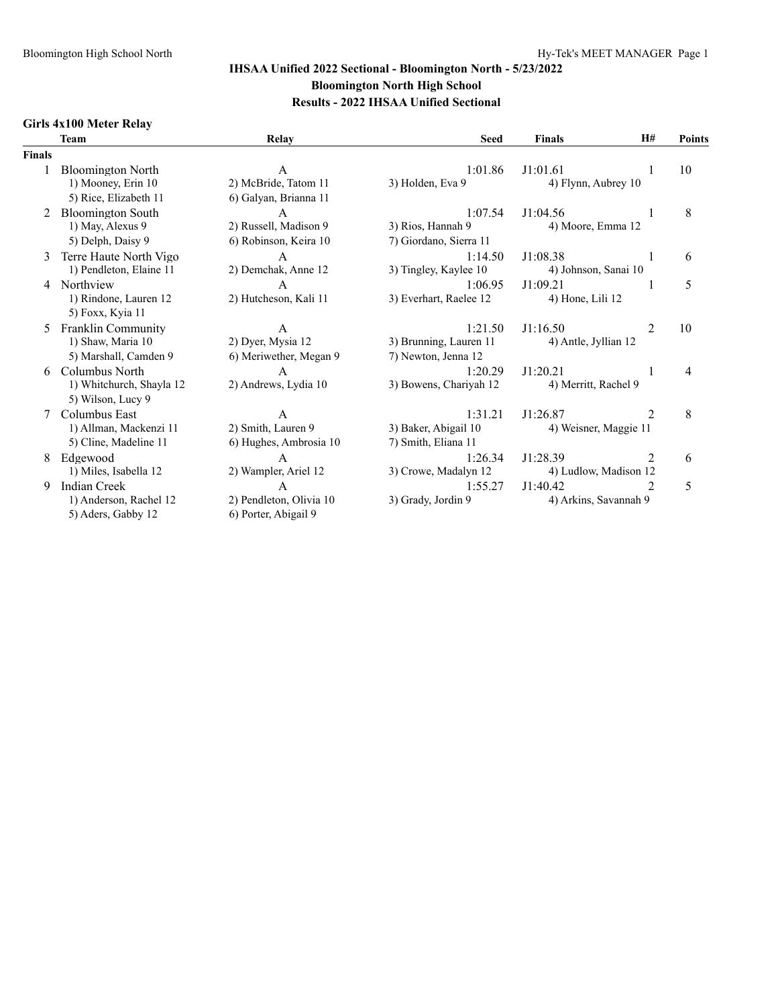# **Girls 4x100 Meter Relay**

|               | <b>Team</b>              | Relay                   | <b>Seed</b>            | <b>Finals</b>         | H#             | Points |
|---------------|--------------------------|-------------------------|------------------------|-----------------------|----------------|--------|
| <b>Finals</b> |                          |                         |                        |                       |                |        |
|               | <b>Bloomington North</b> | A                       | 1:01.86                | J1:01.61              |                | 10     |
|               | 1) Mooney, Erin 10       | 2) McBride, Tatom 11    | 3) Holden, Eva 9       | 4) Flynn, Aubrey 10   |                |        |
|               | 5) Rice, Elizabeth 11    | 6) Galyan, Brianna 11   |                        |                       |                |        |
| $2^{\circ}$   | <b>Bloomington South</b> | A                       | 1:07.54                | J1:04.56              |                | 8      |
|               | 1) May, Alexus 9         | 2) Russell, Madison 9   | 3) Rios, Hannah 9      | 4) Moore, Emma 12     |                |        |
|               | 5) Delph, Daisy 9        | 6) Robinson, Keira 10   | 7) Giordano, Sierra 11 |                       |                |        |
| 3             | Terre Haute North Vigo   | A                       | 1:14.50                | J1:08.38              |                | 6      |
|               | 1) Pendleton, Elaine 11  | 2) Demchak, Anne 12     | 3) Tingley, Kaylee 10  | 4) Johnson, Sanai 10  |                |        |
|               | Northview                | A                       | 1:06.95                | J1:09.21              |                | 5      |
|               | 1) Rindone, Lauren 12    | 2) Hutcheson, Kali 11   | 3) Everhart, Raelee 12 | 4) Hone, Lili 12      |                |        |
|               | 5) Foxx, Kyia 11         |                         |                        |                       |                |        |
| 5.            | Franklin Community       | A                       | 1:21.50                | J1:16.50              | $\overline{2}$ | 10     |
|               | 1) Shaw, Maria 10        | 2) Dyer, Mysia 12       | 3) Brunning, Lauren 11 | 4) Antle, Jyllian 12  |                |        |
|               | 5) Marshall, Camden 9    | 6) Meriwether, Megan 9  | 7) Newton, Jenna 12    |                       |                |        |
| 6             | Columbus North           | A                       | 1:20.29                | J1:20.21              |                | 4      |
|               | 1) Whitchurch, Shayla 12 | 2) Andrews, Lydia 10    | 3) Bowens, Chariyah 12 | 4) Merritt, Rachel 9  |                |        |
|               | 5) Wilson, Lucy 9        |                         |                        |                       |                |        |
|               | Columbus East            | A                       | 1:31.21                | J1:26.87              | $\overline{2}$ | 8      |
|               | 1) Allman, Mackenzi 11   | 2) Smith, Lauren 9      | 3) Baker, Abigail 10   | 4) Weisner, Maggie 11 |                |        |
|               | 5) Cline, Madeline 11    | 6) Hughes, Ambrosia 10  | 7) Smith, Eliana 11    |                       |                |        |
| 8             | Edgewood                 | A                       | 1:26.34                | J1:28.39              | $\overline{2}$ | 6      |
|               | 1) Miles, Isabella 12    | 2) Wampler, Ariel 12    | 3) Crowe, Madalyn 12   | 4) Ludlow, Madison 12 |                |        |
| 9             | <b>Indian Creek</b>      | A                       | 1:55.27                | J1:40.42              | 2              | 5      |
|               | 1) Anderson, Rachel 12   | 2) Pendleton, Olivia 10 | 3) Grady, Jordin 9     | 4) Arkins, Savannah 9 |                |        |
|               | 5) Aders, Gabby 12       | 6) Porter, Abigail 9    |                        |                       |                |        |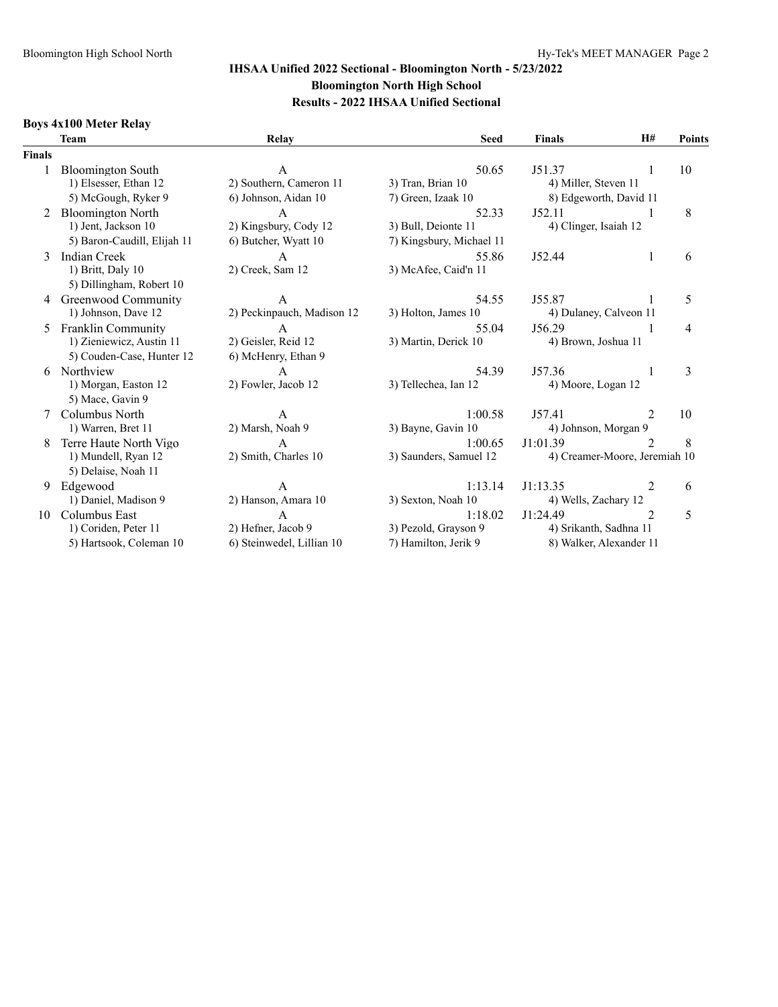|               | <b>Boys 4x100 Meter Relay</b>                                                  |                                                                   |                                                          |                                                               |                                                 |        |
|---------------|--------------------------------------------------------------------------------|-------------------------------------------------------------------|----------------------------------------------------------|---------------------------------------------------------------|-------------------------------------------------|--------|
|               | <b>Team</b>                                                                    | Relay                                                             | <b>Seed</b>                                              | <b>Finals</b>                                                 | H#                                              | Points |
| <b>Finals</b> |                                                                                |                                                                   |                                                          |                                                               |                                                 |        |
|               | <b>Bloomington South</b><br>1) Elsesser, Ethan 12<br>5) McGough, Ryker 9       | A<br>2) Southern, Cameron 11<br>6) Johnson, Aidan 10              | 50.65<br>3) Tran, Brian 10<br>7) Green, Izaak 10         | J51.37<br>4) Miller, Steven 11                                | 8) Edgeworth, David 11                          | 10     |
|               | <b>Bloomington North</b><br>1) Jent, Jackson 10<br>5) Baron-Caudill, Elijah 11 | $\mathsf{A}$<br>2) Kingsbury, Cody 12<br>6) Butcher, Wyatt 10     | 52.33<br>3) Bull, Deionte 11<br>7) Kingsbury, Michael 11 | J52.11<br>4) Clinger, Isaiah 12                               |                                                 | 8      |
| 3             | <b>Indian Creek</b><br>1) Britt, Daly 10<br>5) Dillingham, Robert 10           | $\overline{A}$<br>2) Creek, Sam 12                                | 55.86<br>3) McAfee, Caid'n 11                            | J52.44                                                        | 1                                               | 6      |
| 4             | Greenwood Community<br>1) Johnson, Dave 12                                     | A<br>2) Peckinpauch, Madison 12                                   | 54.55<br>3) Holton, James 10                             | J55.87<br>4) Dulaney, Calveon 11                              |                                                 | 5      |
| 5             | Franklin Community<br>1) Zieniewicz, Austin 11<br>5) Couden-Case, Hunter 12    | $\mathbf{A}$<br>2) Geisler, Reid 12<br>6) McHenry, Ethan 9        | 55.04<br>3) Martin, Derick 10                            | J56.29<br>4) Brown, Joshua 11                                 |                                                 | 4      |
| 6             | Northview<br>1) Morgan, Easton 12<br>5) Mace, Gavin 9                          | $\overline{A}$<br>2) Fowler, Jacob 12                             | 54.39<br>3) Tellechea, Ian 12                            | J57.36<br>4) Moore, Logan 12                                  | $\mathbf{1}$                                    | 3      |
|               | Columbus North<br>1) Warren, Bret 11                                           | A<br>2) Marsh, Noah 9                                             | 1:00.58<br>3) Bayne, Gavin 10                            | J57.41<br>4) Johnson, Morgan 9                                | 2                                               | 10     |
| 8             | Terre Haute North Vigo<br>1) Mundell, Ryan 12<br>5) Delaise, Noah 11           | $\overline{A}$<br>2) Smith, Charles 10                            | 1:00.65<br>3) Saunders, Samuel 12                        | J1:01.39                                                      | $\mathfrak{D}$<br>4) Creamer-Moore, Jeremiah 10 | 8      |
| 9             | Edgewood<br>1) Daniel, Madison 9                                               | $\overline{A}$<br>2) Hanson, Amara 10                             | 1:13.14<br>3) Sexton, Noah 10                            | J1:13.35<br>4) Wells, Zachary 12                              | $\overline{2}$                                  | 6      |
| 10            | Columbus East<br>1) Coriden, Peter 11<br>5) Hartsook, Coleman 10               | $\overline{A}$<br>2) Hefner, Jacob 9<br>6) Steinwedel, Lillian 10 | 1:18.02<br>3) Pezold, Grayson 9<br>7) Hamilton, Jerik 9  | J1:24.49<br>4) Srikanth, Sadhna 11<br>8) Walker, Alexander 11 | $\mathfrak{D}$                                  | 5      |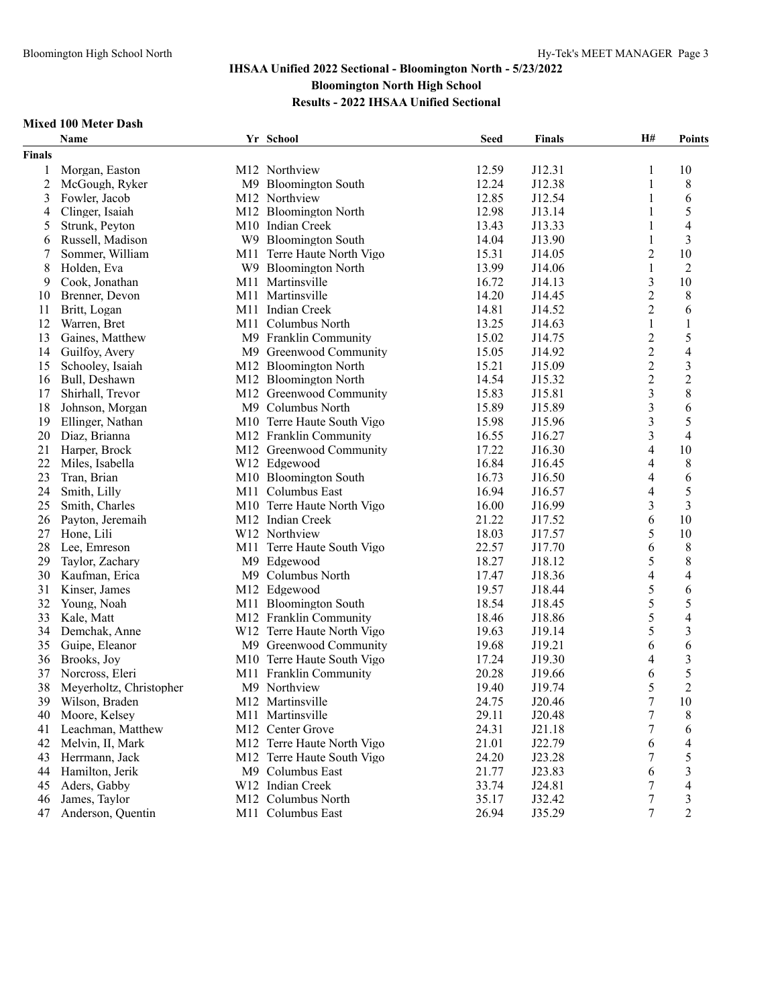#### **Mixed 100 Meter Dash**

|               | Name                    |     | Yr School                  | <b>Seed</b> | <b>Finals</b> | H#             | <b>Points</b>           |
|---------------|-------------------------|-----|----------------------------|-------------|---------------|----------------|-------------------------|
| <b>Finals</b> |                         |     |                            |             |               |                |                         |
| 1             | Morgan, Easton          |     | M12 Northview              | 12.59       | J12.31        | 1              | 10                      |
| 2             | McGough, Ryker          |     | M9 Bloomington South       | 12.24       | J12.38        | 1              | 8                       |
| 3             | Fowler, Jacob           |     | M12 Northview              | 12.85       | J12.54        | 1              | 6                       |
| 4             | Clinger, Isaiah         |     | M12 Bloomington North      | 12.98       | J13.14        | 1              | 5                       |
| 5             | Strunk, Peyton          |     | M10 Indian Creek           | 13.43       | J13.33        | 1              | $\overline{\mathbf{4}}$ |
| 6             | Russell, Madison        |     | W9 Bloomington South       | 14.04       | J13.90        | 1              | 3                       |
| 7             | Sommer, William         |     | M11 Terre Haute North Vigo | 15.31       | J14.05        | $\overline{c}$ | 10                      |
| 8             | Holden, Eva             |     | W9 Bloomington North       | 13.99       | J14.06        | 1              | $\overline{c}$          |
| 9             | Cook, Jonathan          |     | M11 Martinsville           | 16.72       | J14.13        | 3              | 10                      |
| 10            | Brenner, Devon          |     | M11 Martinsville           | 14.20       | J14.45        | $\overline{c}$ | 8                       |
| 11            | Britt, Logan            | M11 | Indian Creek               | 14.81       | J14.52        | 2              | 6                       |
| 12            | Warren, Bret            |     | M11 Columbus North         | 13.25       | J14.63        | $\mathbf{1}$   | $\mathbf{1}$            |
| 13            | Gaines, Matthew         |     | M9 Franklin Community      | 15.02       | J14.75        | $\overline{c}$ | 5                       |
| 14            | Guilfoy, Avery          |     | M9 Greenwood Community     | 15.05       | J14.92        | $\overline{c}$ | 4                       |
| 15            | Schooley, Isaiah        |     | M12 Bloomington North      | 15.21       | J15.09        | $\overline{c}$ | 3                       |
| 16            | Bull, Deshawn           |     | M12 Bloomington North      | 14.54       | J15.32        | 2              | $\overline{2}$          |
| 17            | Shirhall, Trevor        |     | M12 Greenwood Community    | 15.83       | J15.81        | 3              | 8                       |
| 18            | Johnson, Morgan         |     | M9 Columbus North          | 15.89       | J15.89        | 3              | 6                       |
| 19            | Ellinger, Nathan        |     | M10 Terre Haute South Vigo | 15.98       | J15.96        | 3              | 5                       |
| 20            | Diaz, Brianna           |     | M12 Franklin Community     | 16.55       | J16.27        | 3              | 4                       |
| 21            | Harper, Brock           |     | M12 Greenwood Community    | 17.22       | J16.30        | 4              | 10                      |
| 22            | Miles, Isabella         |     | W12 Edgewood               | 16.84       | J16.45        | 4              | $8\,$                   |
| 23            | Tran, Brian             |     | M10 Bloomington South      | 16.73       | J16.50        | 4              | 6                       |
| 24            | Smith, Lilly            |     | M11 Columbus East          | 16.94       | J16.57        | 4              | 5                       |
| 25            | Smith, Charles          |     | M10 Terre Haute North Vigo | 16.00       | J16.99        | 3              | 3                       |
| 26            | Payton, Jeremaih        |     | M12 Indian Creek           | 21.22       | J17.52        | 6              | 10                      |
| 27            | Hone, Lili              |     | W12 Northview              | 18.03       | J17.57        | 5              | 10                      |
| 28            | Lee, Emreson            |     | M11 Terre Haute South Vigo | 22.57       | J17.70        | 6              | $8\,$                   |
| 29            | Taylor, Zachary         |     | M9 Edgewood                | 18.27       | J18.12        | 5              | 8                       |
| 30            | Kaufman, Erica          |     | M9 Columbus North          | 17.47       | J18.36        | 4              | 4                       |
| 31            | Kinser, James           |     | M12 Edgewood               | 19.57       | J18.44        | 5              | 6                       |
| 32            | Young, Noah             |     | M11 Bloomington South      | 18.54       | J18.45        | 5              | 5                       |
| 33            | Kale, Matt              |     | M12 Franklin Community     | 18.46       | J18.86        | 5              | 4                       |
| 34            | Demchak, Anne           |     | W12 Terre Haute North Vigo | 19.63       | J19.14        | 5              | 3                       |
| 35            | Guipe, Eleanor          |     | M9 Greenwood Community     | 19.68       | J19.21        | 6              | 6                       |
| 36            | Brooks, Joy             |     | M10 Terre Haute South Vigo | 17.24       | J19.30        | 4              | $\mathfrak{Z}$          |
| 37            | Norcross, Eleri         |     | M11 Franklin Community     | 20.28       | J19.66        | 6              | 5                       |
| 38            | Meyerholtz, Christopher |     | M9 Northview               | 19.40       | J19.74        | 5              | $\overline{c}$          |
|               | 39 Wilson, Braden       |     | M12 Martinsville           | 24.75       | J20.46        | 7              | 10                      |
| 40            | Moore, Kelsey           |     | M11 Martinsville           | 29.11       | J20.48        | 7              | 8                       |
| 41            | Leachman, Matthew       |     | M12 Center Grove           | 24.31       | J21.18        | 7              | 6                       |
| 42            | Melvin, II, Mark        |     | M12 Terre Haute North Vigo | 21.01       | J22.79        | 6              | 4                       |
| 43            | Herrmann, Jack          |     | M12 Terre Haute South Vigo | 24.20       | J23.28        | 7              | 5                       |
| 44            | Hamilton, Jerik         |     | M9 Columbus East           | 21.77       | J23.83        | 6              | 3                       |
| 45            | Aders, Gabby            |     | W12 Indian Creek           | 33.74       | J24.81        | 7              | 4                       |
| 46            | James, Taylor           |     | M12 Columbus North         | 35.17       | J32.42        | 7              | 3                       |
| 47            | Anderson, Quentin       |     | M11 Columbus East          | 26.94       | J35.29        | $\tau$         | $\overline{2}$          |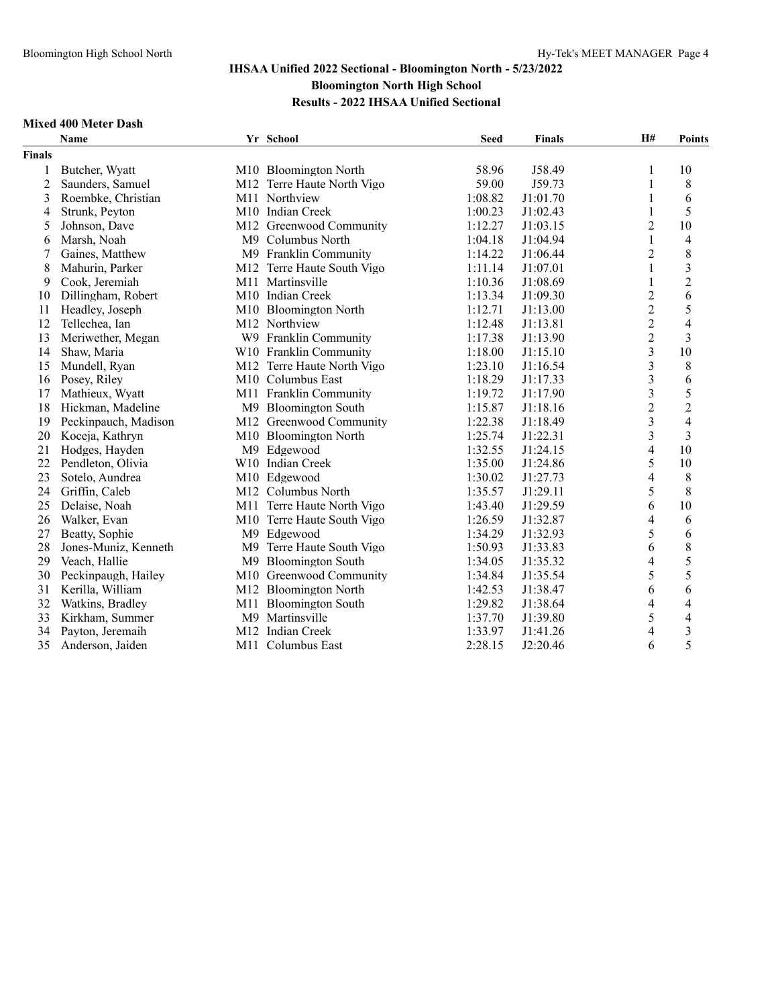#### **Mixed 400 Meter Dash**

|               | <b>Name</b>          |                | Yr School                      | <b>Seed</b> | <b>Finals</b> | H#                      | Points                   |
|---------------|----------------------|----------------|--------------------------------|-------------|---------------|-------------------------|--------------------------|
| <b>Finals</b> |                      |                |                                |             |               |                         |                          |
| 1             | Butcher, Wyatt       |                | M10 Bloomington North          | 58.96       | J58.49        | 1                       | 10                       |
| 2             | Saunders, Samuel     |                | M12 Terre Haute North Vigo     | 59.00       | J59.73        | 1                       | 8                        |
| 3             | Roembke, Christian   |                | M <sub>11</sub> Northview      | 1:08.82     | J1:01.70      | 1                       | 6                        |
| 4             | Strunk, Peyton       |                | M <sub>10</sub> Indian Creek   | 1:00.23     | J1:02.43      |                         | 5                        |
| 5             | Johnson, Dave        |                | M12 Greenwood Community        | 1:12.27     | J1:03.15      | $\overline{c}$          | 10                       |
| 6             | Marsh, Noah          |                | M9 Columbus North              | 1:04.18     | J1:04.94      |                         | $\overline{\mathcal{A}}$ |
| 7             | Gaines, Matthew      |                | M9 Franklin Community          | 1:14.22     | J1:06.44      | $\overline{c}$          | $\,$ $\,$                |
| 8             | Mahurin, Parker      |                | M12 Terre Haute South Vigo     | 1:11.14     | J1:07.01      | 1                       | $\overline{\mathbf{3}}$  |
| 9             | Cook, Jeremiah       |                | M11 Martinsville               | 1:10.36     | J1:08.69      | 1                       | $\overline{c}$           |
| 10            | Dillingham, Robert   |                | M10 Indian Creek               | 1:13.34     | J1:09.30      | $\overline{c}$          | 6                        |
| 11            | Headley, Joseph      |                | M10 Bloomington North          | 1:12.71     | J1:13.00      | $\overline{c}$          | 5                        |
| 12            | Tellechea, Ian       |                | M12 Northview                  | 1:12.48     | J1:13.81      | $\overline{c}$          | 4                        |
| 13            | Meriwether, Megan    |                | W9 Franklin Community          | 1:17.38     | J1:13.90      | $\overline{c}$          | 3                        |
| 14            | Shaw, Maria          |                | W10 Franklin Community         | 1:18.00     | J1:15.10      | $\overline{\mathbf{3}}$ | 10                       |
| 15            | Mundell, Ryan        |                | M12 Terre Haute North Vigo     | 1:23.10     | J1:16.54      | 3                       | $\,8\,$                  |
| 16            | Posey, Riley         | M10            | Columbus East                  | 1:18.29     | J1:17.33      | 3                       | 6                        |
| 17            | Mathieux, Wyatt      |                | M11 Franklin Community         | 1:19.72     | J1:17.90      | 3                       | 5                        |
| 18            | Hickman, Madeline    |                | M9 Bloomington South           | 1:15.87     | J1:18.16      | $\overline{c}$          | $\overline{c}$           |
| 19            | Peckinpauch, Madison |                | M12 Greenwood Community        | 1:22.38     | J1:18.49      | $\overline{\mathbf{3}}$ | $\overline{\mathbf{4}}$  |
| 20            | Koceja, Kathryn      |                | M10 Bloomington North          | 1:25.74     | J1:22.31      | $\overline{\mathbf{3}}$ | 3                        |
| 21            | Hodges, Hayden       |                | M9 Edgewood                    | 1:32.55     | J1:24.15      | 4                       | 10                       |
| 22            | Pendleton, Olivia    | W10            | Indian Creek                   | 1:35.00     | J1:24.86      | 5                       | 10                       |
| 23            | Sotelo, Aundrea      |                | M10 Edgewood                   | 1:30.02     | J1:27.73      | 4                       | 8                        |
| 24            | Griffin, Caleb       |                | M <sub>12</sub> Columbus North | 1:35.57     | J1:29.11      | 5                       | $\,8\,$                  |
| 25            | Delaise, Noah        |                | M11 Terre Haute North Vigo     | 1:43.40     | J1:29.59      | 6                       | 10                       |
| 26            | Walker, Evan         |                | M10 Terre Haute South Vigo     | 1:26.59     | J1:32.87      | 4                       | 6                        |
| 27            | Beatty, Sophie       |                | M9 Edgewood                    | 1:34.29     | J1:32.93      | 5                       | 6                        |
| 28            | Jones-Muniz, Kenneth | M <sup>9</sup> | Terre Haute South Vigo         | 1:50.93     | J1:33.83      | 6                       | $\,8\,$                  |
| 29            | Veach, Hallie        | M <sup>9</sup> | <b>Bloomington South</b>       | 1:34.05     | J1:35.32      | 4                       | 5                        |
| 30            | Peckinpaugh, Hailey  |                | M10 Greenwood Community        | 1:34.84     | J1:35.54      | 5                       | 5                        |
| 31            | Kerilla, William     |                | M12 Bloomington North          | 1:42.53     | J1:38.47      | 6                       | 6                        |
| 32            | Watkins, Bradley     | M11            | <b>Bloomington South</b>       | 1:29.82     | J1:38.64      | 4                       | 4                        |
| 33            | Kirkham, Summer      | M9             | Martinsville                   | 1:37.70     | J1:39.80      | 5                       | $\overline{\mathcal{A}}$ |
| 34            | Payton, Jeremaih     | M12            | Indian Creek                   | 1:33.97     | J1:41.26      | 4                       | $\overline{\mathbf{3}}$  |
| 35            | Anderson, Jaiden     |                | M11 Columbus East              | 2:28.15     | J2:20.46      | 6                       | 5                        |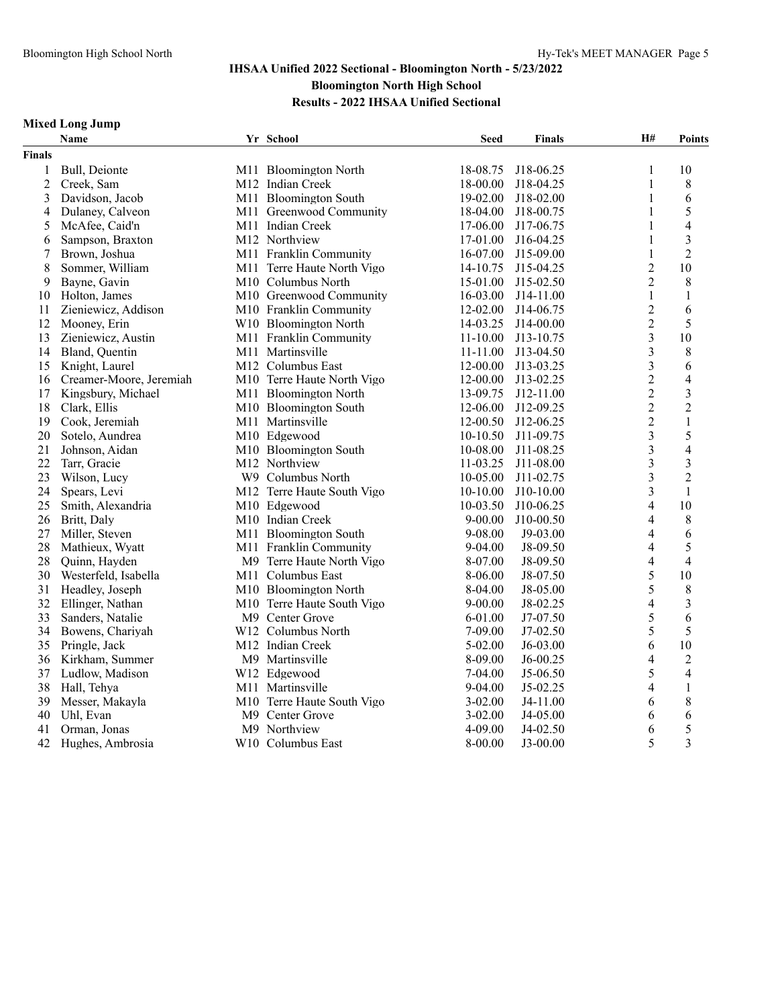# **Mixed Long Jump**

|                | Name                    |                | Yr School                      | <b>Seed</b>  | <b>Finals</b> | <b>H#</b>      | <b>Points</b>  |
|----------------|-------------------------|----------------|--------------------------------|--------------|---------------|----------------|----------------|
| <b>Finals</b>  |                         |                |                                |              |               |                |                |
| 1              | Bull, Deionte           |                | M11 Bloomington North          | 18-08.75     | J18-06.25     | 1              | 10             |
| $\overline{c}$ | Creek, Sam              |                | M12 Indian Creek               | 18-00.00     | J18-04.25     | 1              | 8              |
| 3              | Davidson, Jacob         |                | M11 Bloomington South          | 19-02.00     | J18-02.00     | 1              | 6              |
| 4              | Dulaney, Calveon        |                | M11 Greenwood Community        | 18-04.00     | J18-00.75     | 1              | 5              |
| 5              | McAfee, Caid'n          |                | M11 Indian Creek               | 17-06.00     | J17-06.75     | 1              | $\overline{4}$ |
| 6              | Sampson, Braxton        |                | M12 Northview                  | 17-01.00     | J16-04.25     | 1              | $\mathfrak{Z}$ |
| 7              | Brown, Joshua           |                | M11 Franklin Community         | 16-07.00     | J15-09.00     | $\mathbf{1}$   | $\overline{2}$ |
| 8              | Sommer, William         |                | M11 Terre Haute North Vigo     | 14-10.75     | J15-04.25     | $\overline{c}$ | 10             |
| 9              | Bayne, Gavin            |                | M <sub>10</sub> Columbus North | 15-01.00     | J15-02.50     | $\overline{c}$ | $\,$ 8 $\,$    |
| 10             | Holton, James           |                | M10 Greenwood Community        | 16-03.00     | J14-11.00     | $\mathbf{1}$   | $\mathbf{1}$   |
| 11             | Zieniewicz, Addison     |                | M10 Franklin Community         | 12-02.00     | J14-06.75     | $\overline{c}$ | 6              |
| 12             | Mooney, Erin            |                | W10 Bloomington North          | 14-03.25     | J14-00.00     | $\overline{c}$ | 5              |
| 13             | Zieniewicz, Austin      |                | M11 Franklin Community         | $11 - 10.00$ | J13-10.75     | 3              | 10             |
| 14             | Bland, Quentin          |                | M11 Martinsville               | 11-11.00     | J13-04.50     | 3              | $8\,$          |
| 15             | Knight, Laurel          |                | M12 Columbus East              | 12-00.00     | J13-03.25     | 3              | 6              |
| 16             | Creamer-Moore, Jeremiah |                | M10 Terre Haute North Vigo     | 12-00.00     | J13-02.25     | $\overline{c}$ | $\overline{4}$ |
| 17             | Kingsbury, Michael      |                | M11 Bloomington North          | 13-09.75     | J12-11.00     | $\overline{c}$ | $\mathfrak{Z}$ |
| 18             | Clark, Ellis            |                | M10 Bloomington South          | 12-06.00     | J12-09.25     | $\overline{c}$ | $\overline{c}$ |
| 19             | Cook, Jeremiah          |                | M11 Martinsville               | 12-00.50     | J12-06.25     | $\overline{c}$ | $\mathbf{1}$   |
| 20             | Sotelo, Aundrea         |                | M10 Edgewood                   | 10-10.50     | J11-09.75     | 3              | 5              |
| 21             | Johnson, Aidan          |                | M10 Bloomington South          | 10-08.00     | J11-08.25     | 3              | 4              |
| 22             | Tarr, Gracie            |                | M12 Northview                  | 11-03.25     | J11-08.00     | 3              | 3              |
| 23             | Wilson, Lucy            |                | W9 Columbus North              | 10-05.00     | J11-02.75     | 3              | $\overline{2}$ |
| 24             | Spears, Levi            |                | M12 Terre Haute South Vigo     | $10-10.00$   | J10-10.00     | 3              | 1              |
| 25             | Smith, Alexandria       |                | M10 Edgewood                   | 10-03.50     | J10-06.25     | 4              | 10             |
| 26             | Britt, Daly             |                | M10 Indian Creek               | $9 - 00.00$  | $J10-00.50$   | 4              | $\,8\,$        |
| 27             | Miller, Steven          | M11            | <b>Bloomington South</b>       | 9-08.00      | J9-03.00      | 4              | 6              |
| 28             | Mathieux, Wyatt         |                | M11 Franklin Community         | 9-04.00      | J8-09.50      | 4              | 5              |
| 28             | Quinn, Hayden           |                | M9 Terre Haute North Vigo      | 8-07.00      | J8-09.50      | $\overline{4}$ | $\overline{4}$ |
| 30             | Westerfeld, Isabella    |                | M <sub>11</sub> Columbus East  | 8-06.00      | J8-07.50      | 5              | 10             |
| 31             | Headley, Joseph         |                | M10 Bloomington North          | 8-04.00      | J8-05.00      | 5              | 8              |
| 32             | Ellinger, Nathan        |                | M10 Terre Haute South Vigo     | $9 - 00.00$  | J8-02.25      | $\overline{4}$ | $\mathfrak{Z}$ |
| 33             | Sanders, Natalie        |                | M9 Center Grove                | 6-01.00      | J7-07.50      | 5              | 6              |
| 34             | Bowens, Chariyah        |                | W <sub>12</sub> Columbus North | 7-09.00      | $J7-02.50$    | 5              | 5              |
| 35             | Pringle, Jack           |                | M12 Indian Creek               | 5-02.00      | J6-03.00      | 6              | 10             |
| 36             | Kirkham, Summer         |                | M9 Martinsville                | 8-09.00      | $J6-00.25$    | 4              | $\overline{2}$ |
| 37             | Ludlow, Madison         |                | W12 Edgewood                   | 7-04.00      | $J5-06.50$    | 5              | $\overline{4}$ |
| 38             | Hall, Tehya             |                | M11 Martinsville               | 9-04.00      | J5-02.25      | 4              | $\mathbf{1}$   |
| 39             | Messer, Makayla         | M10            | Terre Haute South Vigo         | $3 - 02.00$  | J4-11.00      | 6              | $\,$ 8 $\,$    |
| 40             | Uhl, Evan               | M <sub>9</sub> | Center Grove                   | $3 - 02.00$  | J4-05.00      | 6              | 6              |
| 41             | Orman, Jonas            |                | M9 Northview                   | 4-09.00      | J4-02.50      | 6              | 5              |
| 42             | Hughes, Ambrosia        |                | W10 Columbus East              | $8 - 00.00$  | J3-00.00      | 5              | 3              |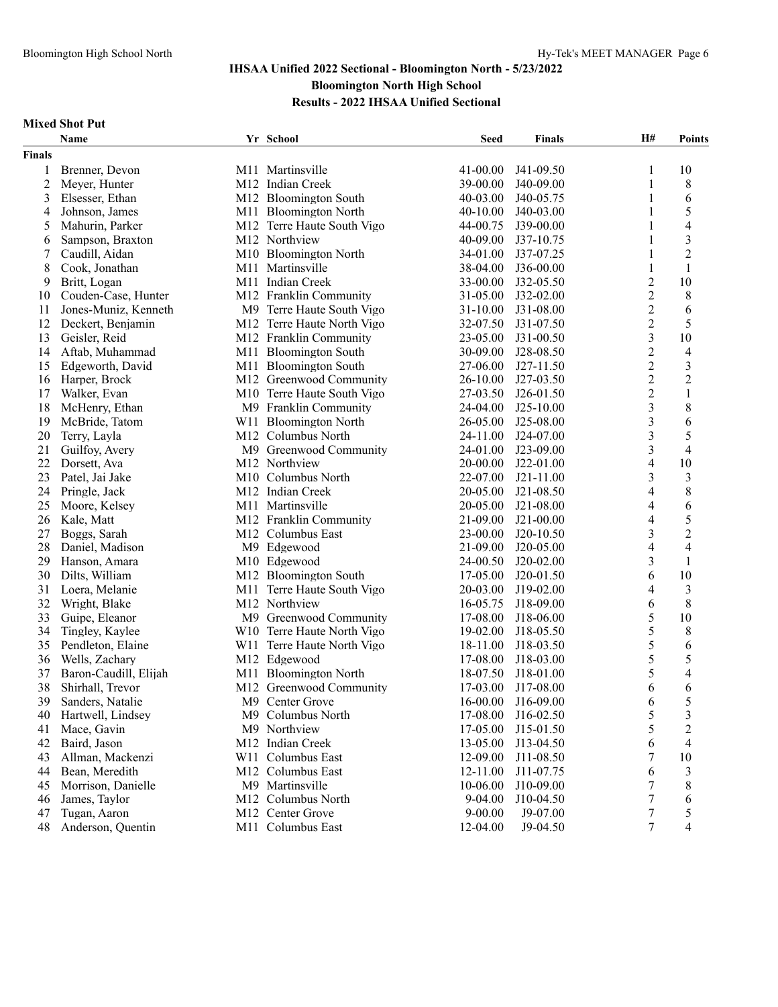#### **Mixed Shot Put**

|                | Name                  |     | Yr School                      | <b>Seed</b>  | <b>Finals</b>      | H#             | <b>Points</b>  |
|----------------|-----------------------|-----|--------------------------------|--------------|--------------------|----------------|----------------|
| Finals         |                       |     |                                |              |                    |                |                |
| 1              | Brenner, Devon        |     | M11 Martinsville               | 41-00.00     | J41-09.50          | 1              | 10             |
| $\overline{c}$ | Meyer, Hunter         |     | M12 Indian Creek               | 39-00.00     | J40-09.00          | 1              | 8              |
| 3              | Elsesser, Ethan       |     | M12 Bloomington South          | 40-03.00     | J40-05.75          | 1              | 6              |
| 4              | Johnson, James        |     | M11 Bloomington North          | $40-10.00$   | J40-03.00          | 1              | 5              |
| 5              | Mahurin, Parker       |     | M12 Terre Haute South Vigo     | 44-00.75     | J39-00.00          | 1              | 4              |
| 6              | Sampson, Braxton      |     | M12 Northview                  | 40-09.00     | J37-10.75          | 1              | 3              |
| 7              | Caudill, Aidan        |     | M10 Bloomington North          | 34-01.00     | J37-07.25          | 1              | $\overline{2}$ |
| 8              | Cook, Jonathan        |     | M11 Martinsville               | 38-04.00     | J36-00.00          | $\mathbf{1}$   | $\mathbf{1}$   |
| 9              | Britt, Logan          |     | M11 Indian Creek               | 33-00.00     | J32-05.50          | $\overline{c}$ | 10             |
| 10             | Couden-Case, Hunter   |     | M12 Franklin Community         | 31-05.00     | J32-02.00          | $\overline{c}$ | 8              |
| 11             | Jones-Muniz, Kenneth  |     | M9 Terre Haute South Vigo      | $31 - 10.00$ | J31-08.00          | 2              | 6              |
| 12             | Deckert, Benjamin     |     | M12 Terre Haute North Vigo     | 32-07.50     | J31-07.50          | $\overline{c}$ | 5              |
| 13             | Geisler, Reid         |     | M12 Franklin Community         | 23-05.00     | $J31-00.50$        | 3              | 10             |
| 14             | Aftab, Muhammad       |     | M11 Bloomington South          | 30-09.00     | J28-08.50          | $\overline{c}$ | 4              |
| 15             | Edgeworth, David      |     | M11 Bloomington South          | 27-06.00     | $J27-11.50$        | $\overline{c}$ | 3              |
| 16             | Harper, Brock         |     | M12 Greenwood Community        | 26-10.00     | $J27-03.50$        | $\overline{2}$ | 2              |
| 17             | Walker, Evan          |     | M10 Terre Haute South Vigo     | 27-03.50     | $J26-01.50$        | $\overline{c}$ | 1              |
| 18             | McHenry, Ethan        |     | M9 Franklin Community          | 24-04.00     | $J25-10.00$        | 3              | 8              |
| 19             | McBride, Tatom        |     | W11 Bloomington North          | 26-05.00     | J25-08.00          | 3              | 6              |
| 20             | Terry, Layla          |     | M12 Columbus North             | 24-11.00     | J24-07.00          | 3              | 5              |
| 21             | Guilfoy, Avery        |     | M9 Greenwood Community         | 24-01.00     | J23-09.00          | 3              | 4              |
| 22             | Dorsett, Ava          |     | M12 Northview                  | 20-00.00     | $J22-01.00$        | 4              | 10             |
| 23             | Patel, Jai Jake       |     | M <sub>10</sub> Columbus North | 22-07.00     | $J21-11.00$        | 3              | 3              |
| 24             | Pringle, Jack         |     | M12 Indian Creek               | 20-05.00     | J21-08.50          | 4              | $\,$ $\,$      |
| 25             | Moore, Kelsey         |     | M11 Martinsville               | 20-05.00     | J21-08.00          | 4              | 6              |
| 26             | Kale, Matt            |     | M12 Franklin Community         | 21-09.00     | $J21-00.00$        | 4              | 5              |
| 27             | Boggs, Sarah          |     | M12 Columbus East              | 23-00.00     | $J20-10.50$        | 3              | $\overline{c}$ |
| 28             | Daniel, Madison       |     | M9 Edgewood                    | 21-09.00     | $J20-05.00$        | 4              | 4              |
| 29             | Hanson, Amara         |     | M10 Edgewood                   | 24-00.50     | J20-02.00          | 3              | 1              |
| 30             | Dilts, William        |     | M12 Bloomington South          | 17-05.00     | $J20-01.50$        | 6              | 10             |
| 31             | Loera, Melanie        | M11 | Terre Haute South Vigo         | 20-03.00     | J19-02.00          | 4              | 3              |
| 32             | Wright, Blake         |     | M12 Northview                  | 16-05.75     | J18-09.00          | 6              | $\,$ 8 $\,$    |
| 33             | Guipe, Eleanor        |     | M9 Greenwood Community         | 17-08.00     | J18-06.00          | 5              | 10             |
| 34             | Tingley, Kaylee       |     | W10 Terre Haute North Vigo     | 19-02.00     | J18-05.50          | 5              | 8              |
| 35             | Pendleton, Elaine     |     | W11 Terre Haute North Vigo     | 18-11.00     | J18-03.50          | 5              | 6              |
| 36             | Wells, Zachary        |     | M12 Edgewood                   | 17-08.00     | J18-03.00          | 5              | 5              |
| 37             | Baron-Caudill, Elijah |     | M11 Bloomington North          | 18-07.50     | J18-01.00          | 5              | 4              |
| 38             | Shirhall, Trevor      |     | M12 Greenwood Community        | 17-03.00     | J17-08.00          | 6              | 6              |
|                | 39 Sanders, Natalie   |     | M9 Center Grove                |              | 16-00.00 J16-09.00 | 6              | 5              |
| 40             | Hartwell, Lindsey     |     | M9 Columbus North              | 17-08.00     | $J16-02.50$        | 5              | 3              |
| 41             | Mace, Gavin           |     | M9 Northview                   | 17-05.00     | J15-01.50          | 5              | 2              |
| 42             | Baird, Jason          |     | M12 Indian Creek               | 13-05.00     | J13-04.50          | 6              | 4              |
| 43             | Allman, Mackenzi      |     | W11 Columbus East              | 12-09.00     | J11-08.50          | 7              | 10             |
| 44             | Bean, Meredith        |     | M12 Columbus East              | 12-11.00     | J11-07.75          | 6              | 3              |
| 45             | Morrison, Danielle    |     | M9 Martinsville                | 10-06.00     | J10-09.00          | 7              | 8              |
| 46             | James, Taylor         |     | M12 Columbus North             | $9 - 04.00$  | J10-04.50          | 7              | 6              |
| 47             | Tugan, Aaron          |     | M12 Center Grove               | $9 - 00.00$  | J9-07.00           | 7              | 5              |
| 48             | Anderson, Quentin     |     | M11 Columbus East              | 12-04.00     | J9-04.50           | $\tau$         | 4              |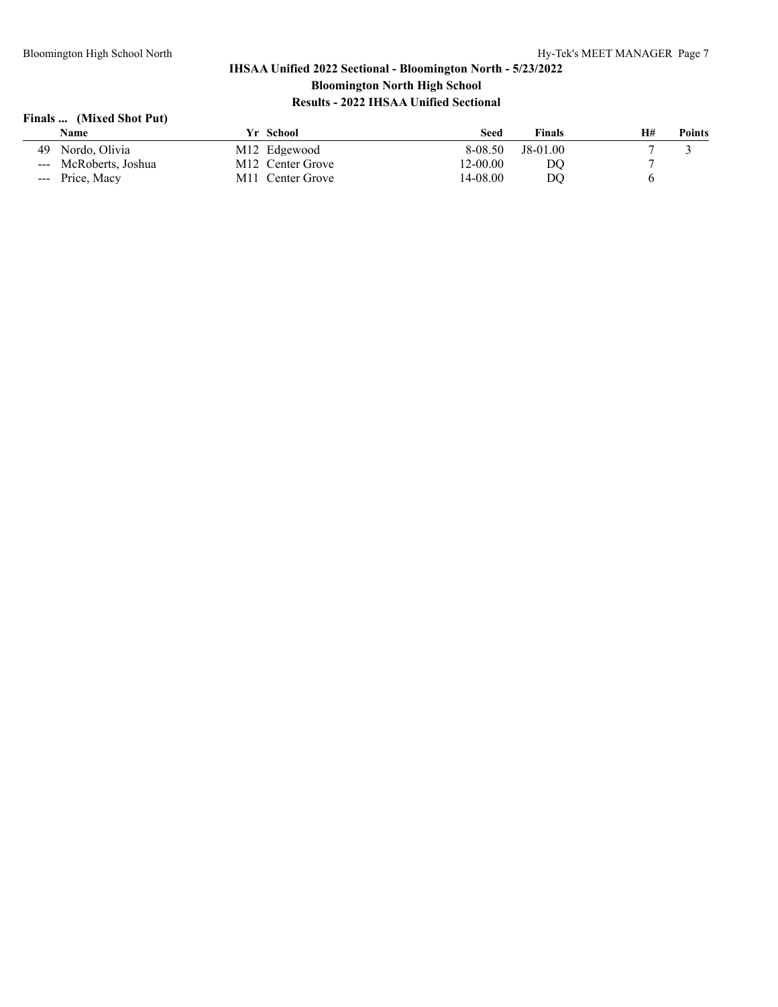#### **Finals ... (Mixed Shot Put)**

| Name                  | Yr School                | Seed     | <b>Finals</b> | H# | Points |
|-----------------------|--------------------------|----------|---------------|----|--------|
| 49 Nordo, Olivia      | M <sub>12</sub> Edgewood | 8-08.50  | $J8-01.00$    |    |        |
| --- McRoberts, Joshua | M12 Center Grove         | 12-00.00 | DO.           |    |        |
| --- Price, Macy       | M11 Center Grove         | 14-08.00 | DO            |    |        |